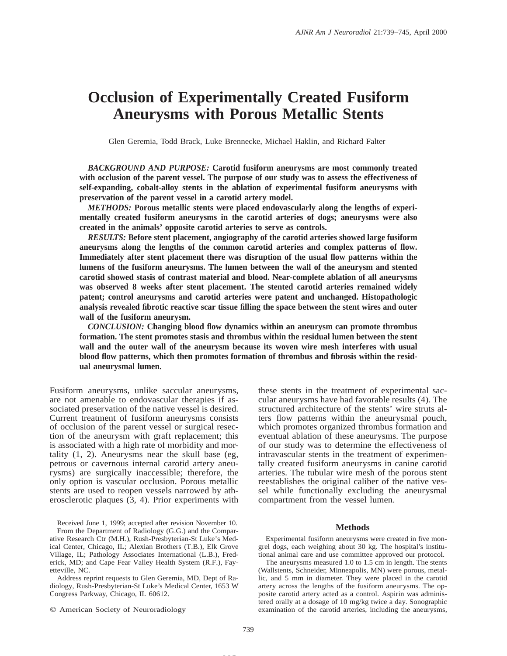# **Occlusion of Experimentally Created Fusiform Aneurysms with Porous Metallic Stents**

Glen Geremia, Todd Brack, Luke Brennecke, Michael Haklin, and Richard Falter

*BACKGROUND AND PURPOSE:* **Carotid fusiform aneurysms are most commonly treated with occlusion of the parent vessel. The purpose of our study was to assess the effectiveness of self-expanding, cobalt-alloy stents in the ablation of experimental fusiform aneurysms with preservation of the parent vessel in a carotid artery model.**

*METHODS:* **Porous metallic stents were placed endovascularly along the lengths of experimentally created fusiform aneurysms in the carotid arteries of dogs; aneurysms were also created in the animals' opposite carotid arteries to serve as controls.**

*RESULTS:* **Before stent placement, angiography of the carotid arteries showed large fusiform aneurysms along the lengths of the common carotid arteries and complex patterns of flow. Immediately after stent placement there was disruption of the usual flow patterns within the lumens of the fusiform aneurysms. The lumen between the wall of the aneurysm and stented carotid showed stasis of contrast material and blood. Near-complete ablation of all aneurysms was observed 8 weeks after stent placement. The stented carotid arteries remained widely patent; control aneurysms and carotid arteries were patent and unchanged. Histopathologic analysis revealed fibrotic reactive scar tissue filling the space between the stent wires and outer wall of the fusiform aneurysm.**

*CONCLUSION:* **Changing blood flow dynamics within an aneurysm can promote thrombus formation. The stent promotes stasis and thrombus within the residual lumen between the stent wall and the outer wall of the aneurysm because its woven wire mesh interferes with usual blood flow patterns, which then promotes formation of thrombus and fibrosis within the residual aneurysmal lumen.**

Fusiform aneurysms, unlike saccular aneurysms, are not amenable to endovascular therapies if associated preservation of the native vessel is desired. Current treatment of fusiform aneurysms consists of occlusion of the parent vessel or surgical resection of the aneurysm with graft replacement; this is associated with a high rate of morbidity and mortality (1, 2). Aneurysms near the skull base (eg, petrous or cavernous internal carotid artery aneurysms) are surgically inaccessible; therefore, the only option is vascular occlusion. Porous metallic stents are used to reopen vessels narrowed by atherosclerotic plaques (3, 4). Prior experiments with

 $©$  American Society of Neuroradiology

these stents in the treatment of experimental saccular aneurysms have had favorable results (4). The structured architecture of the stents' wire struts alters flow patterns within the aneurysmal pouch, which promotes organized thrombus formation and eventual ablation of these aneurysms. The purpose of our study was to determine the effectiveness of intravascular stents in the treatment of experimentally created fusiform aneurysms in canine carotid arteries. The tubular wire mesh of the porous stent reestablishes the original caliber of the native vessel while functionally excluding the aneurysmal compartment from the vessel lumen.

# **Methods**

Experimental fusiform aneurysms were created in five mongrel dogs, each weighing about 30 kg. The hospital's institutional animal care and use committee approved our protocol.

The aneurysms measured 1.0 to 1.5 cm in length. The stents (Wallstents, Schneider, Minneapolis, MN) were porous, metallic, and 5 mm in diameter. They were placed in the carotid artery across the lengths of the fusiform aneurysms. The opposite carotid artery acted as a control. Aspirin was administered orally at a dosage of 10 mg/kg twice a day. Sonographic examination of the carotid arteries, including the aneurysms,

**MS**

Received June 1, 1999; accepted after revision November 10.

From the Department of Radiology (G.G.) and the Comparative Research Ctr (M.H.), Rush-Presbyterian-St Luke's Medical Center, Chicago, IL; Alexian Brothers (T.B.), Elk Grove Village, IL; Pathology Associates International (L.B.), Frederick, MD; and Cape Fear Valley Health System (R.F.), Fayetteville, NC.

Address reprint requests to Glen Geremia, MD, Dept of Radiology, Rush-Presbyterian-St Luke's Medical Center, 1653 W Congress Parkway, Chicago, IL 60612.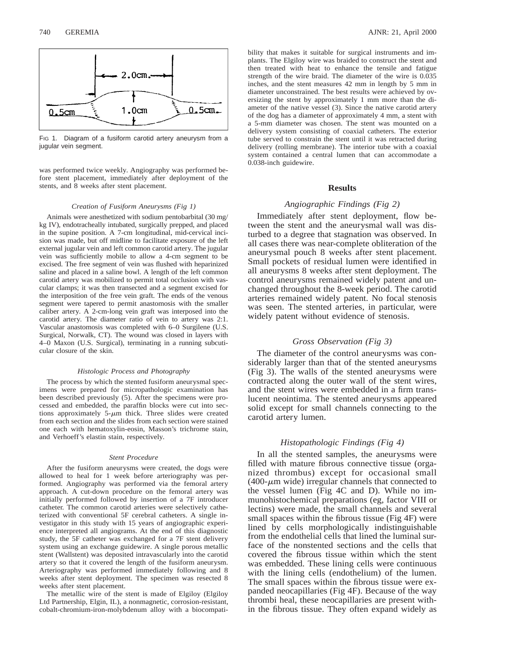

FIG 1. Diagram of a fusiform carotid artery aneurysm from a jugular vein segment.

was performed twice weekly. Angiography was performed before stent placement, immediately after deployment of the stents, and 8 weeks after stent placement.

#### *Creation of Fusiform Aneurysms (Fig 1)*

Animals were anesthetized with sodium pentobarbital (30 mg/ kg IV), endotracheally intubated, surgically prepped, and placed in the supine position. A 7-cm longitudinal, mid-cervical incision was made, but off midline to facilitate exposure of the left external jugular vein and left common carotid artery. The jugular vein was sufficiently mobile to allow a 4-cm segment to be excised. The free segment of vein was flushed with heparinized saline and placed in a saline bowl. A length of the left common carotid artery was mobilized to permit total occlusion with vascular clamps; it was then transected and a segment excised for the interposition of the free vein graft. The ends of the venous segment were tapered to permit anastomosis with the smaller caliber artery. A 2-cm-long vein graft was interposed into the carotid artery. The diameter ratio of vein to artery was 2:1. Vascular anastomosis was completed with 6–0 Surgilene (U.S. Surgical, Norwalk, CT). The wound was closed in layers with 4–0 Maxon (U.S. Surgical), terminating in a running subcuticular closure of the skin.

#### *Histologic Process and Photography*

The process by which the stented fusiform aneurysmal specimens were prepared for micropathologic examination has been described previously (5). After the specimens were processed and embedded, the paraffin blocks were cut into sections approximately  $5-\mu m$  thick. Three slides were created from each section and the slides from each section were stained one each with hematoxylin-eosin, Masson's trichrome stain, and Verhoeff's elastin stain, respectively.

#### *Stent Procedure*

After the fusiform aneurysms were created, the dogs were allowed to heal for 1 week before arteriography was performed. Angiography was performed via the femoral artery approach. A cut-down procedure on the femoral artery was initially performed followed by insertion of a 7F introducer catheter. The common carotid arteries were selectively catheterized with conventional 5F cerebral catheters. A single investigator in this study with 15 years of angiographic experience interpreted all angiograms. At the end of this diagnostic study, the 5F catheter was exchanged for a 7F stent delivery system using an exchange guidewire. A single porous metallic stent (Wallstent) was deposited intravascularly into the carotid artery so that it covered the length of the fusiform aneurysm. Arteriography was performed immediately following and 8 weeks after stent deployment. The specimen was resected 8 weeks after stent placement.

The metallic wire of the stent is made of Elgiloy (Elgiloy Ltd Partnership, Elgin, IL), a nonmagnetic, corrosion-resistant, cobalt-chromium-iron-molybdenum alloy with a biocompatibility that makes it suitable for surgical instruments and implants. The Elgiloy wire was braided to construct the stent and then treated with heat to enhance the tensile and fatigue strength of the wire braid. The diameter of the wire is 0.035 inches, and the stent measures 42 mm in length by 5 mm in diameter unconstrained. The best results were achieved by oversizing the stent by approximately 1 mm more than the diameter of the native vessel (3). Since the native carotid artery of the dog has a diameter of approximately 4 mm, a stent with a 5-mm diameter was chosen. The stent was mounted on a delivery system consisting of coaxial catheters. The exterior tube served to constrain the stent until it was retracted during delivery (rolling membrane). The interior tube with a coaxial system contained a central lumen that can accommodate a 0.038-inch guidewire.

## **Results**

# *Angiographic Findings (Fig 2)*

Immediately after stent deployment, flow between the stent and the aneurysmal wall was disturbed to a degree that stagnation was observed. In all cases there was near-complete obliteration of the aneurysmal pouch 8 weeks after stent placement. Small pockets of residual lumen were identified in all aneurysms 8 weeks after stent deployment. The control aneurysms remained widely patent and unchanged throughout the 8-week period. The carotid arteries remained widely patent. No focal stenosis was seen. The stented arteries, in particular, were widely patent without evidence of stenosis.

#### *Gross Observation (Fig 3)*

The diameter of the control aneurysms was considerably larger than that of the stented aneurysms (Fig 3). The walls of the stented aneurysms were contracted along the outer wall of the stent wires, and the stent wires were embedded in a firm translucent neointima. The stented aneurysms appeared solid except for small channels connecting to the carotid artery lumen.

# *Histopathologic Findings (Fig 4)*

In all the stented samples, the aneurysms were filled with mature fibrous connective tissue (organized thrombus) except for occasional small  $(400-\mu m)$  wide) irregular channels that connected to the vessel lumen (Fig 4C and D). While no immunohistochemical preparations (eg, factor VIII or lectins) were made, the small channels and several small spaces within the fibrous tissue (Fig 4F) were lined by cells morphologically indistinguishable from the endothelial cells that lined the luminal surface of the nonstented sections and the cells that covered the fibrous tissue within which the stent was embedded. These lining cells were continuous with the lining cells (endothelium) of the lumen. The small spaces within the fibrous tissue were expanded neocapillaries (Fig 4F). Because of the way thrombi heal, these neocapillaries are present within the fibrous tissue. They often expand widely as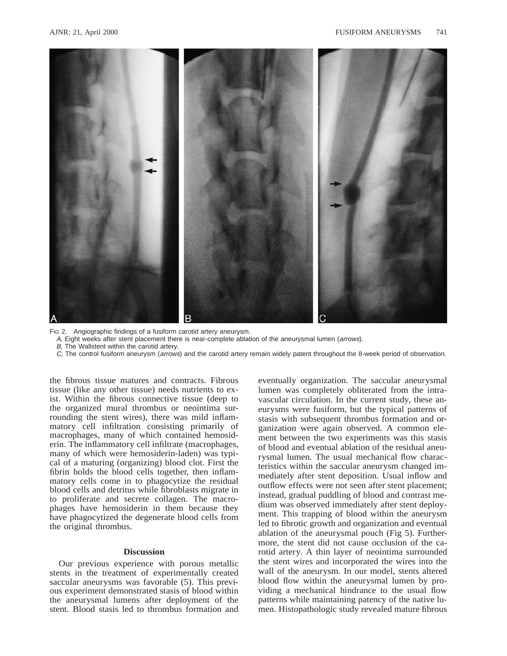

FIG 2. Angiographic findings of a fusiform carotid artery aneurysm.

A, Eight weeks after stent placement there is near-complete ablation of the aneurysmal lumen (arrows).

B, The Wallstent within the carotid artery.

C, The control fusiform aneurysm (arrows) and the carotid artery remain widely patent throughout the 8-week period of observation.

the fibrous tissue matures and contracts. Fibrous tissue (like any other tissue) needs nutrients to exist. Within the fibrous connective tissue (deep to the organized mural thrombus or neointima surrounding the stent wires), there was mild inflammatory cell infiltration consisting primarily of macrophages, many of which contained hemosiderin. The inflammatory cell infiltrate (macrophages, many of which were hemosiderin-laden) was typical of a maturing (organizing) blood clot. First the fibrin holds the blood cells together, then inflammatory cells come in to phagocytize the residual blood cells and detritus while fibroblasts migrate in to proliferate and secrete collagen. The macrophages have hemosiderin in them because they have phagocytized the degenerate blood cells from the original thrombus.

# **Discussion**

Our previous experience with porous metallic stents in the treatment of experimentally created saccular aneurysms was favorable (5). This previous experiment demonstrated stasis of blood within the aneurysmal lumens after deployment of the stent. Blood stasis led to thrombus formation and

eventually organization. The saccular aneurysmal lumen was completely obliterated from the intravascular circulation. In the current study, these aneurysms were fusiform, but the typical patterns of stasis with subsequent thrombus formation and organization were again observed. A common element between the two experiments was this stasis of blood and eventual ablation of the residual aneurysmal lumen. The usual mechanical flow characteristics within the saccular aneurysm changed immediately after stent deposition. Usual inflow and outflow effects were not seen after stent placement; instead, gradual puddling of blood and contrast medium was observed immediately after stent deployment. This trapping of blood within the aneurysm led to fibrotic growth and organization and eventual ablation of the aneurysmal pouch (Fig 5). Furthermore, the stent did not cause occlusion of the carotid artery. A thin layer of neointima surrounded the stent wires and incorporated the wires into the wall of the aneurysm. In our model, stents altered blood flow within the aneurysmal lumen by providing a mechanical hindrance to the usual flow patterns while maintaining patency of the native lumen. Histopathologic study revealed mature fibrous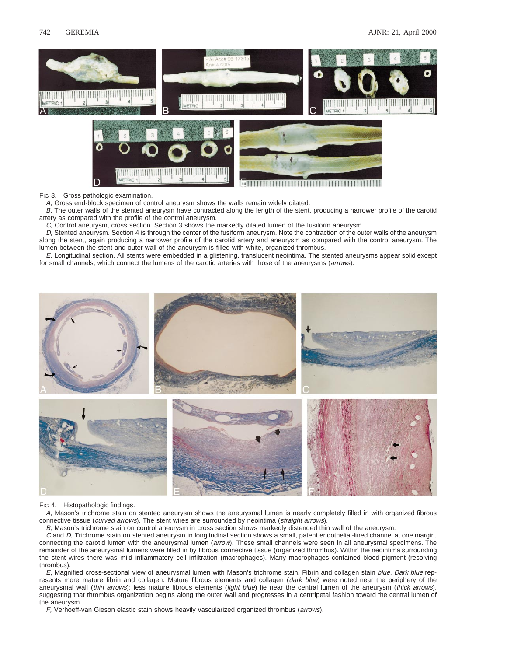

FIG 3. Gross pathologic examination.

A, Gross end-block specimen of control aneurysm shows the walls remain widely dilated.

B, The outer walls of the stented aneurysm have contracted along the length of the stent, producing a narrower profile of the carotid artery as compared with the profile of the control aneurysm.

C, Control aneurysm, cross section. Section 3 shows the markedly dilated lumen of the fusiform aneurysm.

D, Stented aneurysm. Section 4 is through the center of the fusiform aneurysm. Note the contraction of the outer walls of the aneurysm along the stent, again producing a narrower profile of the carotid artery and aneurysm as compared with the control aneurysm. The lumen between the stent and outer wall of the aneurysm is filled with white, organized thrombus.

E, Longitudinal section. All stents were embedded in a glistening, translucent neointima. The stented aneurysms appear solid except for small channels, which connect the lumens of the carotid arteries with those of the aneurysms (arrows).



#### FIG 4. Histopathologic findings.

A, Mason's trichrome stain on stented aneurysm shows the aneurysmal lumen is nearly completely filled in with organized fibrous connective tissue (curved arrows). The stent wires are surrounded by neointima (straight arrows).

B, Mason's trichrome stain on control aneurysm in cross section shows markedly distended thin wall of the aneurysm.

C and D, Trichrome stain on stented aneurysm in longitudinal section shows a small, patent endothelial-lined channel at one margin, connecting the carotid lumen with the aneurysmal lumen (arrow). These small channels were seen in all aneurysmal specimens. The remainder of the aneurysmal lumens were filled in by fibrous connective tissue (organized thrombus). Within the neointima surrounding the stent wires there was mild inflammatory cell infiltration (macrophages). Many macrophages contained blood pigment (resolving thrombus).

E, Magnified cross-sectional view of aneurysmal lumen with Mason's trichrome stain. Fibrin and collagen stain blue. Dark blue represents more mature fibrin and collagen. Mature fibrous elements and collagen (dark blue) were noted near the periphery of the aneurysmal wall (thin arrows); less mature fibrous elements (light blue) lie near the central lumen of the aneurysm (thick arrows), suggesting that thrombus organization begins along the outer wall and progresses in a centripetal fashion toward the central lumen of the aneurysm.

F, Verhoeff-van Gieson elastic stain shows heavily vascularized organized thrombus (arrows).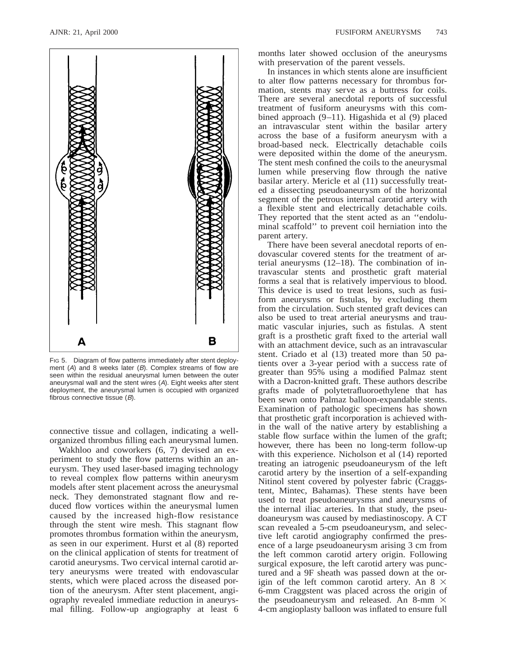

FIG 5. Diagram of flow patterns immediately after stent deployment (A) and 8 weeks later (B). Complex streams of flow are seen within the residual aneurysmal lumen between the outer aneurysmal wall and the stent wires (A). Eight weeks after stent deployment, the aneurysmal lumen is occupied with organized fibrous connective tissue (B).

connective tissue and collagen, indicating a wellorganized thrombus filling each aneurysmal lumen.

Wakhloo and coworkers (6, 7) devised an experiment to study the flow patterns within an aneurysm. They used laser-based imaging technology to reveal complex flow patterns within aneurysm models after stent placement across the aneurysmal neck. They demonstrated stagnant flow and reduced flow vortices within the aneurysmal lumen caused by the increased high-flow resistance through the stent wire mesh. This stagnant flow promotes thrombus formation within the aneurysm, as seen in our experiment. Hurst et al (8) reported on the clinical application of stents for treatment of carotid aneurysms. Two cervical internal carotid artery aneurysms were treated with endovascular stents, which were placed across the diseased portion of the aneurysm. After stent placement, angiography revealed immediate reduction in aneurysmal filling. Follow-up angiography at least 6 months later showed occlusion of the aneurysms with preservation of the parent vessels.

In instances in which stents alone are insufficient to alter flow patterns necessary for thrombus formation, stents may serve as a buttress for coils. There are several anecdotal reports of successful treatment of fusiform aneurysms with this combined approach (9–11). Higashida et al (9) placed an intravascular stent within the basilar artery across the base of a fusiform aneurysm with a broad-based neck. Electrically detachable coils were deposited within the dome of the aneurysm. The stent mesh confined the coils to the aneurysmal lumen while preserving flow through the native basilar artery. Mericle et al (11) successfully treated a dissecting pseudoaneurysm of the horizontal segment of the petrous internal carotid artery with a flexible stent and electrically detachable coils. They reported that the stent acted as an ''endoluminal scaffold'' to prevent coil herniation into the parent artery.

There have been several anecdotal reports of endovascular covered stents for the treatment of arterial aneurysms (12–18). The combination of intravascular stents and prosthetic graft material forms a seal that is relatively impervious to blood. This device is used to treat lesions, such as fusiform aneurysms or fistulas, by excluding them from the circulation. Such stented graft devices can also be used to treat arterial aneurysms and traumatic vascular injuries, such as fistulas. A stent graft is a prosthetic graft fixed to the arterial wall with an attachment device, such as an intravascular stent. Criado et al (13) treated more than 50 patients over a 3-year period with a success rate of greater than 95% using a modified Palmaz stent with a Dacron-knitted graft. These authors describe grafts made of polytetrafluoroethylene that has been sewn onto Palmaz balloon-expandable stents. Examination of pathologic specimens has shown that prosthetic graft incorporation is achieved within the wall of the native artery by establishing a stable flow surface within the lumen of the graft; however, there has been no long-term follow-up with this experience. Nicholson et al (14) reported treating an iatrogenic pseudoaneurysm of the left carotid artery by the insertion of a self-expanding Nitinol stent covered by polyester fabric (Craggstent, Mintec, Bahamas). These stents have been used to treat pseudoaneurysms and aneurysms of the internal iliac arteries. In that study, the pseudoaneurysm was caused by mediastinoscopy. A CT scan revealed a 5-cm pseudoaneurysm, and selective left carotid angiography confirmed the presence of a large pseudoaneurysm arising 3 cm from the left common carotid artery origin. Following surgical exposure, the left carotid artery was punctured and a 9F sheath was passed down at the origin of the left common carotid artery. An  $8 \times$ 6-mm Craggstent was placed across the origin of the pseudoaneurysm and released. An 8-mm  $\times$ 4-cm angioplasty balloon was inflated to ensure full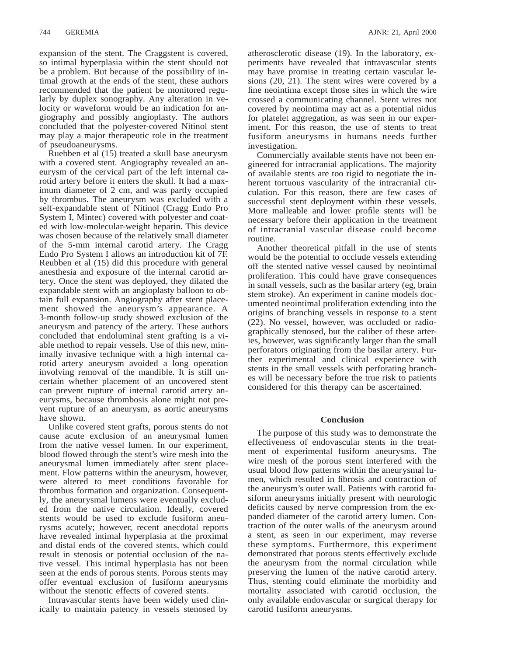expansion of the stent. The Craggstent is covered, so intimal hyperplasia within the stent should not be a problem. But because of the possibility of intimal growth at the ends of the stent, these authors recommended that the patient be monitored regularly by duplex sonography. Any alteration in velocity or waveform would be an indication for angiography and possibly angioplasty. The authors concluded that the polyester-covered Nitinol stent may play a major therapeutic role in the treatment of pseudoaneurysms.

Ruebben et al (15) treated a skull base aneurysm with a covered stent. Angiography revealed an aneurysm of the cervical part of the left internal carotid artery before it enters the skull. It had a maximum diameter of 2 cm, and was partly occupied by thrombus. The aneurysm was excluded with a self-expandable stent of Nitinol (Cragg Endo Pro System I, Mintec) covered with polyester and coated with low-molecular-weight heparin. This device was chosen because of the relatively small diameter of the 5-mm internal carotid artery. The Cragg Endo Pro System I allows an introduction kit of 7F. Reubben et al (15) did this procedure with general anesthesia and exposure of the internal carotid artery. Once the stent was deployed, they dilated the expandable stent with an angioplasty balloon to obtain full expansion. Angiography after stent placement showed the aneurysm's appearance. A 3-month follow-up study showed exclusion of the aneurysm and patency of the artery. These authors concluded that endoluminal stent grafting is a viable method to repair vessels. Use of this new, minimally invasive technique with a high internal carotid artery aneurysm avoided a long operation involving removal of the mandible. It is still uncertain whether placement of an uncovered stent can prevent rupture of internal carotid artery aneurysms, because thrombosis alone might not prevent rupture of an aneurysm, as aortic aneurysms have shown.

Unlike covered stent grafts, porous stents do not cause acute exclusion of an aneurysmal lumen from the native vessel lumen. In our experiment, blood flowed through the stent's wire mesh into the aneurysmal lumen immediately after stent placement. Flow patterns within the aneurysm, however, were altered to meet conditions favorable for thrombus formation and organization. Consequently, the aneurysmal lumens were eventually excluded from the native circulation. Ideally, covered stents would be used to exclude fusiform aneurysms acutely; however, recent anecdotal reports have revealed intimal hyperplasia at the proximal and distal ends of the covered stents, which could result in stenosis or potential occlusion of the native vessel. This intimal hyperplasia has not been seen at the ends of porous stents. Porous stents may offer eventual exclusion of fusiform aneurysms without the stenotic effects of covered stents.

Intravascular stents have been widely used clinically to maintain patency in vessels stenosed by

atherosclerotic disease (19). In the laboratory, experiments have revealed that intravascular stents may have promise in treating certain vascular lesions (20, 21). The stent wires were covered by a fine neointima except those sites in which the wire crossed a communicating channel. Stent wires not covered by neointima may act as a potential nidus for platelet aggregation, as was seen in our experiment. For this reason, the use of stents to treat fusiform aneurysms in humans needs further investigation.

Commercially available stents have not been engineered for intracranial applications. The majority of available stents are too rigid to negotiate the inherent tortuous vascularity of the intracranial circulation. For this reason, there are few cases of successful stent deployment within these vessels. More malleable and lower profile stents will be necessary before their application in the treatment of intracranial vascular disease could become routine.

Another theoretical pitfall in the use of stents would be the potential to occlude vessels extending off the stented native vessel caused by neointimal proliferation. This could have grave consequences in small vessels, such as the basilar artery (eg, brain stem stroke). An experiment in canine models documented neointimal proliferation extending into the origins of branching vessels in response to a stent (22). No vessel, however, was occluded or radiographically stenosed, but the caliber of these arteries, however, was significantly larger than the small perforators originating from the basilar artery. Further experimental and clinical experience with stents in the small vessels with perforating branches will be necessary before the true risk to patients considered for this therapy can be ascertained.

### **Conclusion**

The purpose of this study was to demonstrate the effectiveness of endovascular stents in the treatment of experimental fusiform aneurysms. The wire mesh of the porous stent interfered with the usual blood flow patterns within the aneurysmal lumen, which resulted in fibrosis and contraction of the aneurysm's outer wall. Patients with carotid fusiform aneurysms initially present with neurologic deficits caused by nerve compression from the expanded diameter of the carotid artery lumen. Contraction of the outer walls of the aneurysm around a stent, as seen in our experiment, may reverse these symptoms. Furthermore, this experiment demonstrated that porous stents effectively exclude the aneurysm from the normal circulation while preserving the lumen of the native carotid artery. Thus, stenting could eliminate the morbidity and mortality associated with carotid occlusion, the only available endovascular or surgical therapy for carotid fusiform aneurysms.